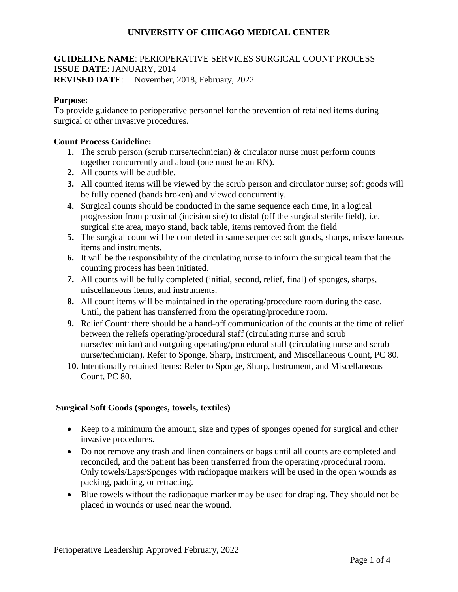### **GUIDELINE NAME**: PERIOPERATIVE SERVICES SURGICAL COUNT PROCESS **ISSUE DATE**: JANUARY, 2014 **REVISED DATE**: November, 2018, February, 2022

### **Purpose:**

To provide guidance to perioperative personnel for the prevention of retained items during surgical or other invasive procedures.

#### **Count Process Guideline:**

- **1.** The scrub person (scrub nurse/technician) & circulator nurse must perform counts together concurrently and aloud (one must be an RN).
- **2.** All counts will be audible.
- **3.** All counted items will be viewed by the scrub person and circulator nurse; soft goods will be fully opened (bands broken) and viewed concurrently.
- **4.** Surgical counts should be conducted in the same sequence each time, in a logical progression from proximal (incision site) to distal (off the surgical sterile field), i.e. surgical site area, mayo stand, back table, items removed from the field
- **5.** The surgical count will be completed in same sequence: soft goods, sharps, miscellaneous items and instruments.
- **6.** It will be the responsibility of the circulating nurse to inform the surgical team that the counting process has been initiated.
- **7.** All counts will be fully completed (initial, second, relief, final) of sponges, sharps, miscellaneous items, and instruments.
- **8.** All count items will be maintained in the operating/procedure room during the case. Until, the patient has transferred from the operating/procedure room.
- **9.** Relief Count: there should be a hand-off communication of the counts at the time of relief between the reliefs operating/procedural staff (circulating nurse and scrub nurse/technician) and outgoing operating/procedural staff (circulating nurse and scrub nurse/technician). Refer to Sponge, Sharp, Instrument, and Miscellaneous Count, PC 80.
- **10.** Intentionally retained items: Refer to Sponge, Sharp, Instrument, and Miscellaneous Count, PC 80.

### **Surgical Soft Goods (sponges, towels, textiles)**

- Keep to a minimum the amount, size and types of sponges opened for surgical and other invasive procedures.
- Do not remove any trash and linen containers or bags until all counts are completed and reconciled, and the patient has been transferred from the operating /procedural room. Only towels/Laps/Sponges with radiopaque markers will be used in the open wounds as packing, padding, or retracting.
- Blue towels without the radiopaque marker may be used for draping. They should not be placed in wounds or used near the wound.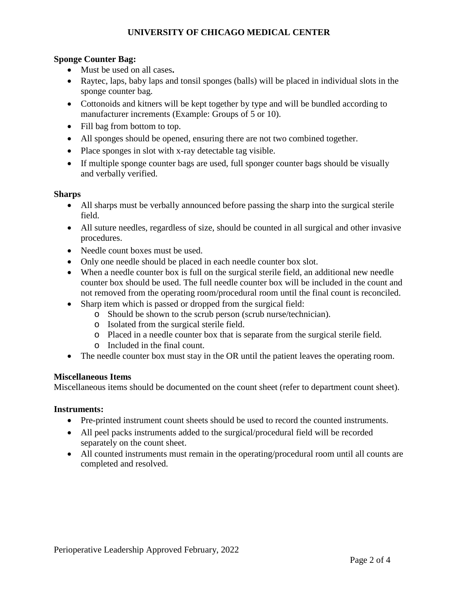### **Sponge Counter Bag:**

- Must be used on all cases**.**
- Raytec, laps, baby laps and tonsil sponges (balls) will be placed in individual slots in the sponge counter bag.
- Cottonoids and kitners will be kept together by type and will be bundled according to manufacturer increments (Example: Groups of 5 or 10).
- Fill bag from bottom to top.
- All sponges should be opened, ensuring there are not two combined together.
- Place sponges in slot with x-ray detectable tag visible.
- If multiple sponge counter bags are used, full sponger counter bags should be visually and verbally verified.

#### **Sharps**

- All sharps must be verbally announced before passing the sharp into the surgical sterile field.
- All suture needles, regardless of size, should be counted in all surgical and other invasive procedures.
- Needle count boxes must be used.
- Only one needle should be placed in each needle counter box slot.
- When a needle counter box is full on the surgical sterile field, an additional new needle counter box should be used. The full needle counter box will be included in the count and not removed from the operating room/procedural room until the final count is reconciled.
- Sharp item which is passed or dropped from the surgical field:
	- o Should be shown to the scrub person (scrub nurse/technician).
	- o Isolated from the surgical sterile field.
	- o Placed in a needle counter box that is separate from the surgical sterile field.
	- o Included in the final count.
- The needle counter box must stay in the OR until the patient leaves the operating room.

### **Miscellaneous Items**

Miscellaneous items should be documented on the count sheet (refer to department count sheet).

#### **Instruments:**

- Pre-printed instrument count sheets should be used to record the counted instruments.
- All peel packs instruments added to the surgical/procedural field will be recorded separately on the count sheet.
- All counted instruments must remain in the operating/procedural room until all counts are completed and resolved.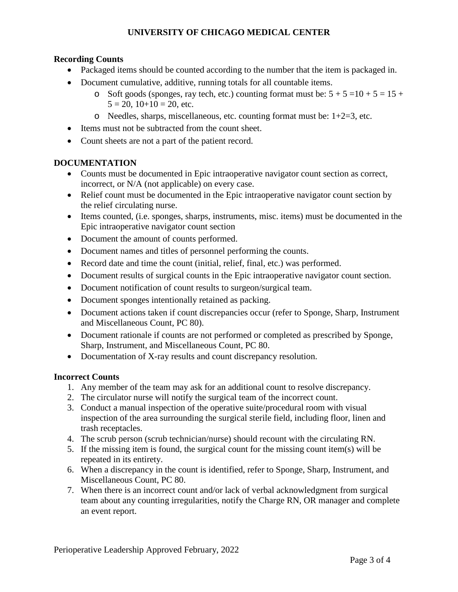## **Recording Counts**

- Packaged items should be counted according to the number that the item is packaged in.
- Document cumulative, additive, running totals for all countable items.
	- o Soft goods (sponges, ray tech, etc.) counting format must be:  $5 + 5 = 10 + 5 = 15 + 15$  $5 = 20$ ,  $10+10 = 20$ , etc.
	- o Needles, sharps, miscellaneous, etc. counting format must be:  $1+2=3$ , etc.
- Items must not be subtracted from the count sheet.
- Count sheets are not a part of the patient record.

### **DOCUMENTATION**

- Counts must be documented in Epic intraoperative navigator count section as correct, incorrect, or N/A (not applicable) on every case.
- Relief count must be documented in the Epic intraoperative navigator count section by the relief circulating nurse.
- Items counted, (i.e. sponges, sharps, instruments, misc. items) must be documented in the Epic intraoperative navigator count section
- Document the amount of counts performed.
- Document names and titles of personnel performing the counts.
- Record date and time the count (initial, relief, final, etc.) was performed.
- Document results of surgical counts in the Epic intraoperative navigator count section.
- Document notification of count results to surgeon/surgical team.
- Document sponges intentionally retained as packing.
- Document actions taken if count discrepancies occur (refer to Sponge, Sharp, Instrument and Miscellaneous Count, PC 80).
- Document rationale if counts are not performed or completed as prescribed by Sponge, Sharp, Instrument, and Miscellaneous Count, PC 80.
- Documentation of X-ray results and count discrepancy resolution.

### **Incorrect Counts**

- 1. Any member of the team may ask for an additional count to resolve discrepancy.
- 2. The circulator nurse will notify the surgical team of the incorrect count.
- 3. Conduct a manual inspection of the operative suite/procedural room with visual inspection of the area surrounding the surgical sterile field, including floor, linen and trash receptacles.
- 4. The scrub person (scrub technician/nurse) should recount with the circulating RN.
- 5. If the missing item is found, the surgical count for the missing count item(s) will be repeated in its entirety.
- 6. When a discrepancy in the count is identified, refer to Sponge, Sharp, Instrument, and Miscellaneous Count, PC 80.
- 7. When there is an incorrect count and/or lack of verbal acknowledgment from surgical team about any counting irregularities, notify the Charge RN, OR manager and complete an event report.